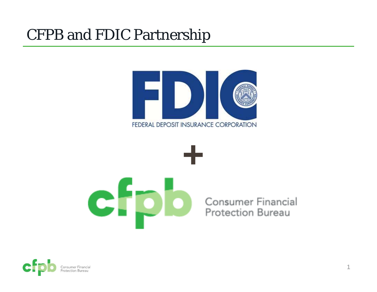### CFPB and FDIC Partnership





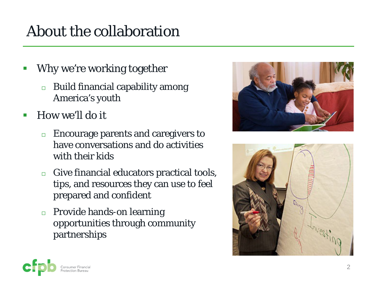# About the collaboration

- $\mathbb{R}^n$  Why we're working together
	- $\Box$  Build financial capability among America's youth
- $\overline{\mathcal{A}}$  How we'll do it
	- $\Box$  Encourage parents and caregivers to have conversations and do activities with their kids
	- $\Box$  Give financial educators practical tools, tips, and resources they can use to feel prepared and confident
	- $\Box$  Provide hands-on learning opportunities through community partnerships





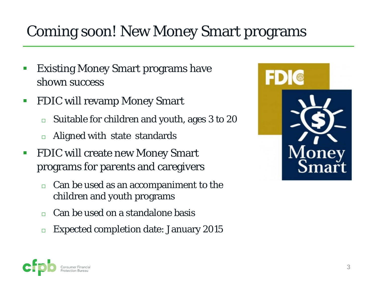## Coming soon! New Money Smart programs

- $\mathbb{R}^n$  Existing Money Smart programs have shown success
- $\mathcal{L}_{\mathcal{A}}$  FDIC will revamp Money Smart
	- $\Box$ Suitable for children and youth, ages 3 to 20
	- $\Box$ Aligned with state standards
- $\mathcal{L}_{\mathcal{A}}$  FDIC will create new Money Smart programs for parents and caregivers
	- $\Box$  Can be used as an accompaniment to the children and youth programs
	- $\Box$ Can be used on a standalone basis
	- $\Box$ Expected completion date: January 2015



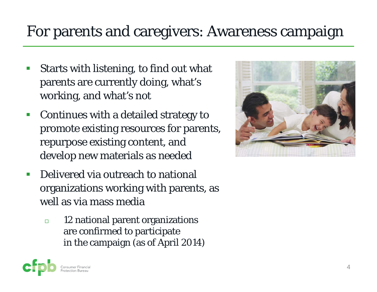### For parents and caregivers: Awareness campaign

- $\mathcal{C}_{\mathcal{A}}$  Starts with listening, to find out what parents are currently doing, what's working, and what's not
- $\mathcal{C}^{\mathcal{A}}$  Continues with a detailed strategy to promote existing resources for parents, repurpose existing content, and develop new materials as needed
- $\mathcal{C}^{\mathcal{A}}$  Delivered via outreach to national organizations working with parents, as well as via mass media
	- $\Box$  12 national parent organizations are confirmed to participate in the campaign (as of April 2014)